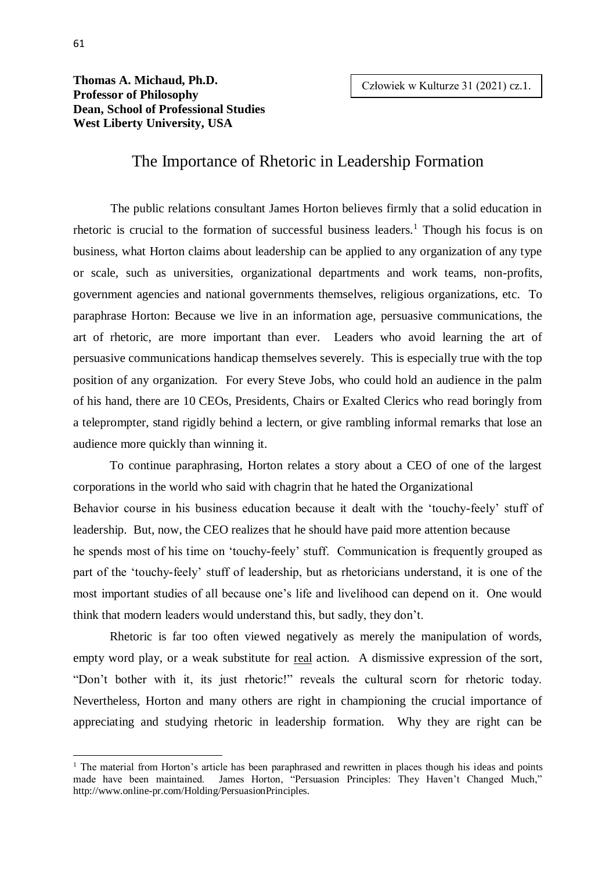**Thomas A. Michaud, Ph.D. Professor of Philosophy Dean, School of Professional Studies West Liberty University, USA**

## The Importance of Rhetoric in Leadership Formation

The public relations consultant James Horton believes firmly that a solid education in rhetoric is crucial to the formation of successful business leaders.<sup>1</sup> Though his focus is on business, what Horton claims about leadership can be applied to any organization of any type or scale, such as universities, organizational departments and work teams, non-profits, government agencies and national governments themselves, religious organizations, etc. To paraphrase Horton: Because we live in an information age, persuasive communications, the art of rhetoric, are more important than ever. Leaders who avoid learning the art of persuasive communications handicap themselves severely. This is especially true with the top position of any organization. For every Steve Jobs, who could hold an audience in the palm of his hand, there are 10 CEOs, Presidents, Chairs or Exalted Clerics who read boringly from a teleprompter, stand rigidly behind a lectern, or give rambling informal remarks that lose an audience more quickly than winning it.

To continue paraphrasing, Horton relates a story about a CEO of one of the largest corporations in the world who said with chagrin that he hated the Organizational Behavior course in his business education because it dealt with the 'touchy-feely' stuff of leadership. But, now, the CEO realizes that he should have paid more attention because he spends most of his time on 'touchy-feely' stuff. Communication is frequently grouped as part of the 'touchy-feely' stuff of leadership, but as rhetoricians understand, it is one of the most important studies of all because one's life and livelihood can depend on it. One would think that modern leaders would understand this, but sadly, they don't.

Rhetoric is far too often viewed negatively as merely the manipulation of words, empty word play, or a weak substitute for <u>real</u> action. A dismissive expression of the sort, "Don't bother with it, its just rhetoric!" reveals the cultural scorn for rhetoric today. Nevertheless, Horton and many others are right in championing the crucial importance of appreciating and studying rhetoric in leadership formation. Why they are right can be

-

<sup>&</sup>lt;sup>1</sup> The material from Horton's article has been paraphrased and rewritten in places though his ideas and points made have been maintained. James Horton, "Persuasion Principles: They Haven't Changed Much," http://www.online-pr.com/Holding/PersuasionPrinciples.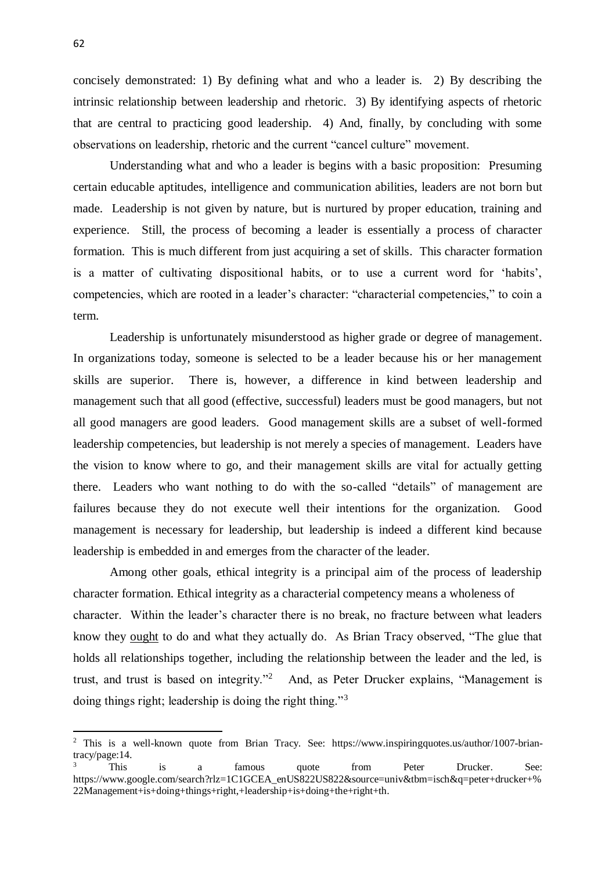concisely demonstrated: 1) By defining what and who a leader is. 2) By describing the intrinsic relationship between leadership and rhetoric. 3) By identifying aspects of rhetoric that are central to practicing good leadership. 4) And, finally, by concluding with some observations on leadership, rhetoric and the current "cancel culture" movement.

Understanding what and who a leader is begins with a basic proposition: Presuming certain educable aptitudes, intelligence and communication abilities, leaders are not born but made. Leadership is not given by nature, but is nurtured by proper education, training and experience. Still, the process of becoming a leader is essentially a process of character formation. This is much different from just acquiring a set of skills. This character formation is a matter of cultivating dispositional habits, or to use a current word for 'habits', competencies, which are rooted in a leader's character: "characterial competencies," to coin a term.

Leadership is unfortunately misunderstood as higher grade or degree of management. In organizations today, someone is selected to be a leader because his or her management skills are superior. There is, however, a difference in kind between leadership and management such that all good (effective, successful) leaders must be good managers, but not all good managers are good leaders. Good management skills are a subset of well-formed leadership competencies, but leadership is not merely a species of management. Leaders have the vision to know where to go, and their management skills are vital for actually getting there. Leaders who want nothing to do with the so-called "details" of management are failures because they do not execute well their intentions for the organization. Good management is necessary for leadership, but leadership is indeed a different kind because leadership is embedded in and emerges from the character of the leader.

Among other goals, ethical integrity is a principal aim of the process of leadership character formation. Ethical integrity as a characterial competency means a wholeness of character. Within the leader's character there is no break, no fracture between what leaders know they ought to do and what they actually do. As Brian Tracy observed, "The glue that holds all relationships together, including the relationship between the leader and the led, is trust, and trust is based on integrity."<sup>2</sup> And, as Peter Drucker explains, "Management is doing things right; leadership is doing the right thing."<sup>3</sup>

-

<sup>&</sup>lt;sup>2</sup> This is a well-known quote from Brian Tracy. See: https://www.inspiringquotes.us/author/1007-briantracy/page:14.

<sup>&</sup>lt;sup>3</sup> This is a famous quote from Peter Drucker. See: https://www.google.com/search?rlz=1C1GCEA\_enUS822US822&source=univ&tbm=isch&q=peter+drucker+% 22Management+is+doing+things+right,+leadership+is+doing+the+right+th.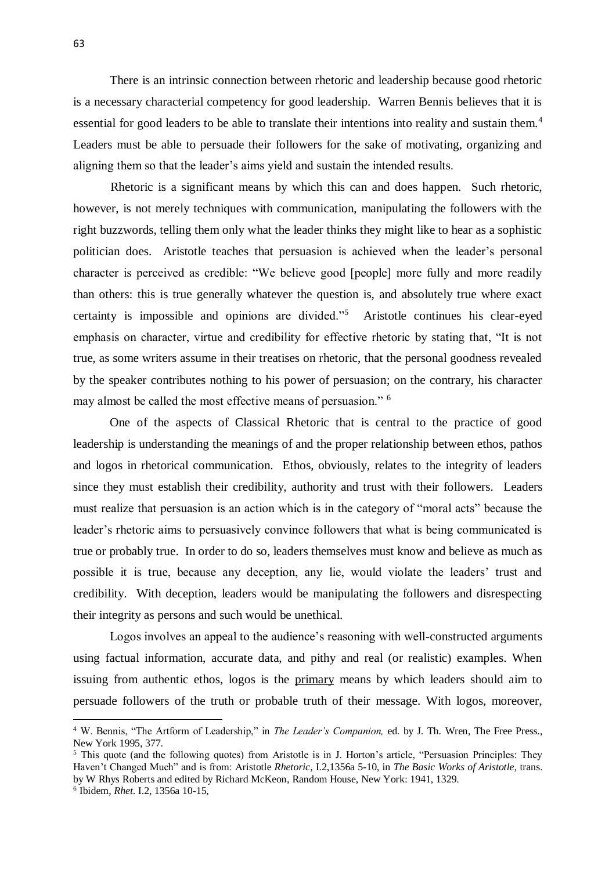There is an intrinsic connection between rhetoric and leadership because good rhetoric is a necessary characterial competency for good leadership. Warren Bennis believes that it is essential for good leaders to be able to translate their intentions into reality and sustain them.<sup>4</sup> Leaders must be able to persuade their followers for the sake of motivating, organizing and aligning them so that the leader's aims yield and sustain the intended results.

Rhetoric is a significant means by which this can and does happen. Such rhetoric, however, is not merely techniques with communication, manipulating the followers with the right buzzwords, telling them only what the leader thinks they might like to hear as a sophistic politician does. Aristotle teaches that persuasion is achieved when the leader's personal character is perceived as credible: "We believe good [people] more fully and more readily than others: this is true generally whatever the question is, and absolutely true where exact certainty is impossible and opinions are divided."<sup>5</sup> Aristotle continues his clear-eyed emphasis on character, virtue and credibility for effective rhetoric by stating that, "It is not true, as some writers assume in their treatises on rhetoric, that the personal goodness revealed by the speaker contributes nothing to his power of persuasion; on the contrary, his character may almost be called the most effective means of persuasion." <sup>6</sup>

One of the aspects of Classical Rhetoric that is central to the practice of good leadership is understanding the meanings of and the proper relationship between ethos, pathos and logos in rhetorical communication. Ethos, obviously, relates to the integrity of leaders since they must establish their credibility, authority and trust with their followers. Leaders must realize that persuasion is an action which is in the category of "moral acts" because the leader's rhetoric aims to persuasively convince followers that what is being communicated is true or probably true. In order to do so, leaders themselves must know and believe as much as possible it is true, because any deception, any lie, would violate the leaders' trust and credibility. With deception, leaders would be manipulating the followers and disrespecting their integrity as persons and such would be unethical.

Logos involves an appeal to the audience's reasoning with well-constructed arguments using factual information, accurate data, and pithy and real (or realistic) examples. When issuing from authentic ethos, logos is the primary means by which leaders should aim to persuade followers of the truth or probable truth of their message. With logos, moreover,

 $\overline{a}$ 

<sup>4</sup> W. Bennis, "The Artform of Leadership," in *The Leader's Companion,* ed. by J. Th. Wren, The Free Press., New York 1995, 377.

<sup>&</sup>lt;sup>5</sup> This quote (and the following quotes) from Aristotle is in J. Horton's article, "Persuasion Principles: They Haven't Changed Much" and is from: Aristotle *Rhetoric*, I.2,1356a 5-10, in *The Basic Works of Aristotle*, trans. by W Rhys Roberts and edited by Richard McKeon, Random House, New York: 1941, 1329. 6 Ibidem, *Rhet*. I.2, 1356a 10-15,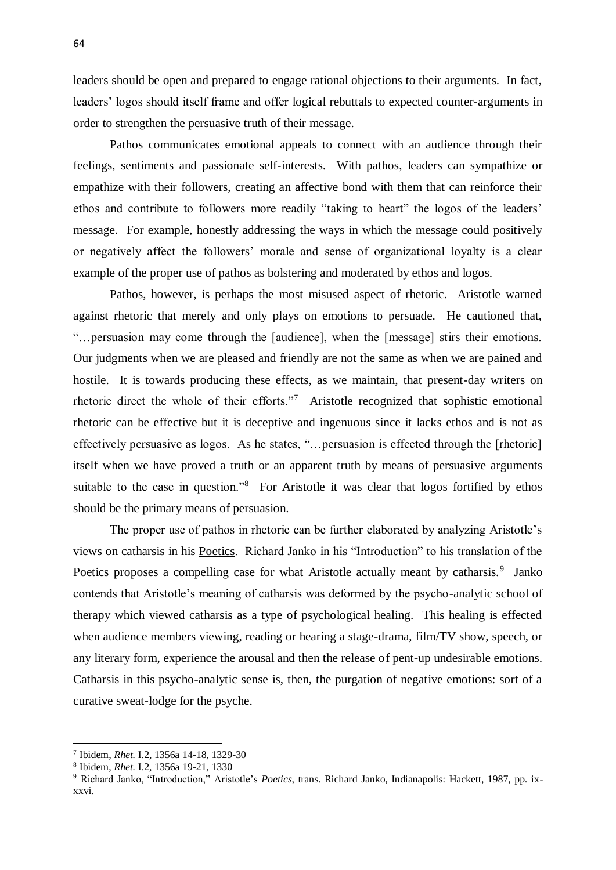leaders should be open and prepared to engage rational objections to their arguments. In fact, leaders' logos should itself frame and offer logical rebuttals to expected counter-arguments in order to strengthen the persuasive truth of their message.

Pathos communicates emotional appeals to connect with an audience through their feelings, sentiments and passionate self-interests. With pathos, leaders can sympathize or empathize with their followers, creating an affective bond with them that can reinforce their ethos and contribute to followers more readily "taking to heart" the logos of the leaders' message. For example, honestly addressing the ways in which the message could positively or negatively affect the followers' morale and sense of organizational loyalty is a clear example of the proper use of pathos as bolstering and moderated by ethos and logos.

Pathos, however, is perhaps the most misused aspect of rhetoric. Aristotle warned against rhetoric that merely and only plays on emotions to persuade. He cautioned that, "…persuasion may come through the [audience], when the [message] stirs their emotions. Our judgments when we are pleased and friendly are not the same as when we are pained and hostile. It is towards producing these effects, as we maintain, that present-day writers on rhetoric direct the whole of their efforts."<sup>7</sup> Aristotle recognized that sophistic emotional rhetoric can be effective but it is deceptive and ingenuous since it lacks ethos and is not as effectively persuasive as logos. As he states, "…persuasion is effected through the [rhetoric] itself when we have proved a truth or an apparent truth by means of persuasive arguments suitable to the case in question."<sup>8</sup> For Aristotle it was clear that logos fortified by ethos should be the primary means of persuasion.

The proper use of pathos in rhetoric can be further elaborated by analyzing Aristotle's views on catharsis in his Poetics. Richard Janko in his "Introduction" to his translation of the Poetics proposes a compelling case for what Aristotle actually meant by catharsis.<sup>9</sup> Janko contends that Aristotle's meaning of catharsis was deformed by the psycho-analytic school of therapy which viewed catharsis as a type of psychological healing. This healing is effected when audience members viewing, reading or hearing a stage-drama, film/TV show, speech, or any literary form, experience the arousal and then the release of pent-up undesirable emotions. Catharsis in this psycho-analytic sense is, then, the purgation of negative emotions: sort of a curative sweat-lodge for the psyche.

-

<sup>7</sup> Ibidem, *Rhet.* I.2, 1356a 14-18, 1329-30

<sup>8</sup> Ibidem, *Rhet.* I.2, 1356a 19-21, 1330

<sup>9</sup> Richard Janko, "Introduction," Aristotle's *Poetics*, trans. Richard Janko, Indianapolis: Hackett, 1987, pp. ixxxvi.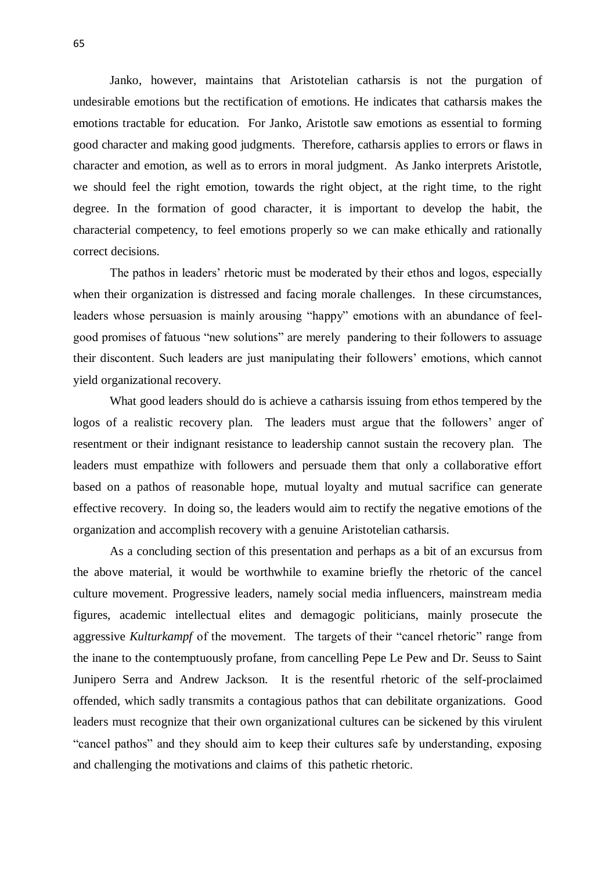Janko, however, maintains that Aristotelian catharsis is not the purgation of undesirable emotions but the rectification of emotions. He indicates that catharsis makes the emotions tractable for education. For Janko, Aristotle saw emotions as essential to forming good character and making good judgments. Therefore, catharsis applies to errors or flaws in character and emotion, as well as to errors in moral judgment. As Janko interprets Aristotle, we should feel the right emotion, towards the right object, at the right time, to the right degree. In the formation of good character, it is important to develop the habit, the characterial competency, to feel emotions properly so we can make ethically and rationally correct decisions.

The pathos in leaders' rhetoric must be moderated by their ethos and logos, especially when their organization is distressed and facing morale challenges. In these circumstances, leaders whose persuasion is mainly arousing "happy" emotions with an abundance of feelgood promises of fatuous "new solutions" are merely pandering to their followers to assuage their discontent. Such leaders are just manipulating their followers' emotions, which cannot yield organizational recovery.

What good leaders should do is achieve a catharsis issuing from ethos tempered by the logos of a realistic recovery plan. The leaders must argue that the followers' anger of resentment or their indignant resistance to leadership cannot sustain the recovery plan. The leaders must empathize with followers and persuade them that only a collaborative effort based on a pathos of reasonable hope, mutual loyalty and mutual sacrifice can generate effective recovery. In doing so, the leaders would aim to rectify the negative emotions of the organization and accomplish recovery with a genuine Aristotelian catharsis.

As a concluding section of this presentation and perhaps as a bit of an excursus from the above material, it would be worthwhile to examine briefly the rhetoric of the cancel culture movement. Progressive leaders, namely social media influencers, mainstream media figures, academic intellectual elites and demagogic politicians, mainly prosecute the aggressive *Kulturkampf* of the movement. The targets of their "cancel rhetoric" range from the inane to the contemptuously profane, from cancelling Pepe Le Pew and Dr. Seuss to Saint Junipero Serra and Andrew Jackson. It is the resentful rhetoric of the self-proclaimed offended, which sadly transmits a contagious pathos that can debilitate organizations. Good leaders must recognize that their own organizational cultures can be sickened by this virulent "cancel pathos" and they should aim to keep their cultures safe by understanding, exposing and challenging the motivations and claims of this pathetic rhetoric.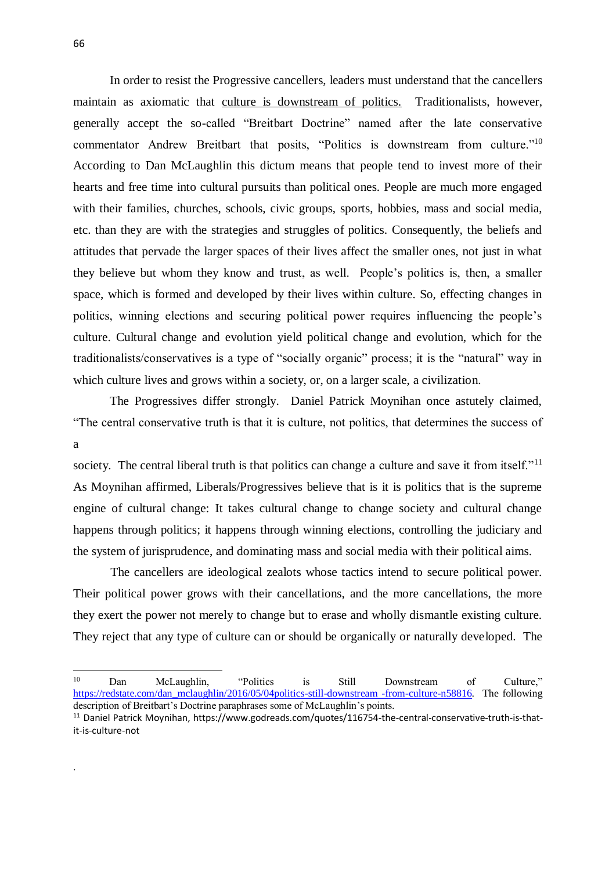In order to resist the Progressive cancellers, leaders must understand that the cancellers maintain as axiomatic that culture is downstream of politics. Traditionalists, however, generally accept the so-called "Breitbart Doctrine" named after the late conservative commentator Andrew Breitbart that posits, "Politics is downstream from culture."<sup>10</sup> According to Dan McLaughlin this dictum means that people tend to invest more of their hearts and free time into cultural pursuits than political ones. People are much more engaged with their families, churches, schools, civic groups, sports, hobbies, mass and social media, etc. than they are with the strategies and struggles of politics. Consequently, the beliefs and attitudes that pervade the larger spaces of their lives affect the smaller ones, not just in what they believe but whom they know and trust, as well. People's politics is, then, a smaller space, which is formed and developed by their lives within culture. So, effecting changes in politics, winning elections and securing political power requires influencing the people's culture. Cultural change and evolution yield political change and evolution, which for the traditionalists/conservatives is a type of "socially organic" process; it is the "natural" way in which culture lives and grows within a society, or, on a larger scale, a civilization.

The Progressives differ strongly. Daniel Patrick Moynihan once astutely claimed, "The central conservative truth is that it is culture, not politics, that determines the success of a

society. The central liberal truth is that politics can change a culture and save it from itself."<sup>11</sup> As Moynihan affirmed, Liberals/Progressives believe that is it is politics that is the supreme engine of cultural change: It takes cultural change to change society and cultural change happens through politics; it happens through winning elections, controlling the judiciary and the system of jurisprudence, and dominating mass and social media with their political aims.

The cancellers are ideological zealots whose tactics intend to secure political power. Their political power grows with their cancellations, and the more cancellations, the more they exert the power not merely to change but to erase and wholly dismantle existing culture. They reject that any type of culture can or should be organically or naturally developed. The

.

 $10<sup>10</sup>$ <sup>10</sup> Dan McLaughlin, "Politics is Still Downstream of Culture," [https://redstate.com/dan\\_mclaughlin/2016/05/04politics-still-downstream -from-culture-n58816.](https://redstate.com/dan_mclaughlin/2016/05/04politics-still-downstream%20-from-culture-n58816) The following description of Breitbart's Doctrine paraphrases some of McLaughlin's points.

<sup>11</sup> Daniel Patrick Moynihan, https://www.godreads.com/quotes/116754-the-central-conservative-truth-is-thatit-is-culture-not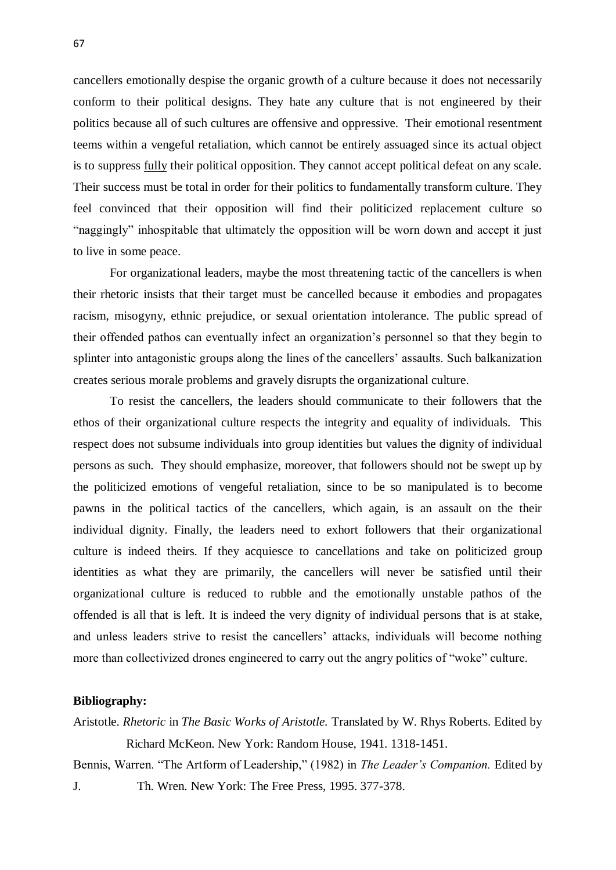cancellers emotionally despise the organic growth of a culture because it does not necessarily conform to their political designs. They hate any culture that is not engineered by their politics because all of such cultures are offensive and oppressive. Their emotional resentment teems within a vengeful retaliation, which cannot be entirely assuaged since its actual object is to suppress fully their political opposition. They cannot accept political defeat on any scale. Their success must be total in order for their politics to fundamentally transform culture. They feel convinced that their opposition will find their politicized replacement culture so "naggingly" inhospitable that ultimately the opposition will be worn down and accept it just to live in some peace.

For organizational leaders, maybe the most threatening tactic of the cancellers is when their rhetoric insists that their target must be cancelled because it embodies and propagates racism, misogyny, ethnic prejudice, or sexual orientation intolerance. The public spread of their offended pathos can eventually infect an organization's personnel so that they begin to splinter into antagonistic groups along the lines of the cancellers' assaults. Such balkanization creates serious morale problems and gravely disrupts the organizational culture.

To resist the cancellers, the leaders should communicate to their followers that the ethos of their organizational culture respects the integrity and equality of individuals. This respect does not subsume individuals into group identities but values the dignity of individual persons as such. They should emphasize, moreover, that followers should not be swept up by the politicized emotions of vengeful retaliation, since to be so manipulated is to become pawns in the political tactics of the cancellers, which again, is an assault on the their individual dignity. Finally, the leaders need to exhort followers that their organizational culture is indeed theirs. If they acquiesce to cancellations and take on politicized group identities as what they are primarily, the cancellers will never be satisfied until their organizational culture is reduced to rubble and the emotionally unstable pathos of the offended is all that is left. It is indeed the very dignity of individual persons that is at stake, and unless leaders strive to resist the cancellers' attacks, individuals will become nothing more than collectivized drones engineered to carry out the angry politics of "woke" culture.

## **Bibliography:**

Aristotle. *Rhetoric* in *The Basic Works of Aristotle.* Translated by W. Rhys Roberts. Edited by Richard McKeon. New York: Random House, 1941. 1318-1451. Bennis, Warren. "The Artform of Leadership," (1982) in *The Leader's Companion.* Edited by J. Th. Wren. New York: The Free Press, 1995. 377-378.